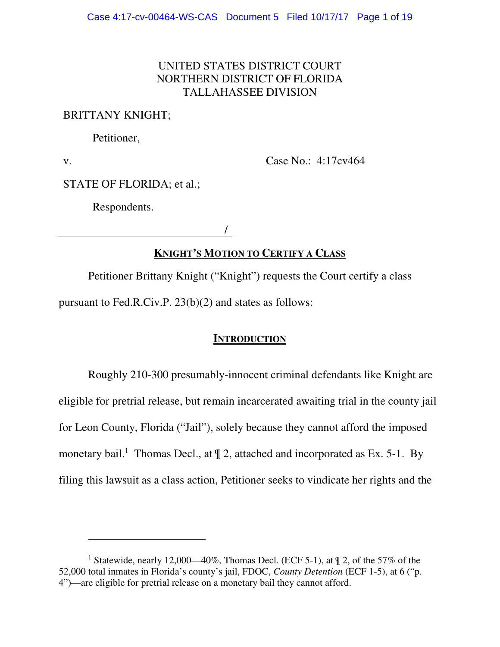## UNITED STATES DISTRICT COURT NORTHERN DISTRICT OF FLORIDA TALLAHASSEE DIVISION

### BRITTANY KNIGHT;

Petitioner,

v.

 $\overline{a}$ 

Case No.: 4:17cv464

STATE OF FLORIDA; et al.;

Respondents.

/

# **KNIGHT'S MOTION TO CERTIFY A CLASS**

Petitioner Brittany Knight ("Knight") requests the Court certify a class pursuant to Fed.R.Civ.P. 23(b)(2) and states as follows:

## **INTRODUCTION**

Roughly 210-300 presumably-innocent criminal defendants like Knight are eligible for pretrial release, but remain incarcerated awaiting trial in the county jail for Leon County, Florida ("Jail"), solely because they cannot afford the imposed monetary bail.<sup>1</sup> Thomas Decl., at  $\parallel$  2, attached and incorporated as Ex. 5-1. By filing this lawsuit as a class action, Petitioner seeks to vindicate her rights and the

<sup>&</sup>lt;sup>1</sup> Statewide, nearly 12,000—40%, Thomas Decl. (ECF 5-1), at  $\mathbb{I}$  2, of the 57% of the 52,000 total inmates in Florida's county's jail, FDOC, *County Detention* (ECF 1-5), at 6 ("p. 4")—are eligible for pretrial release on a monetary bail they cannot afford.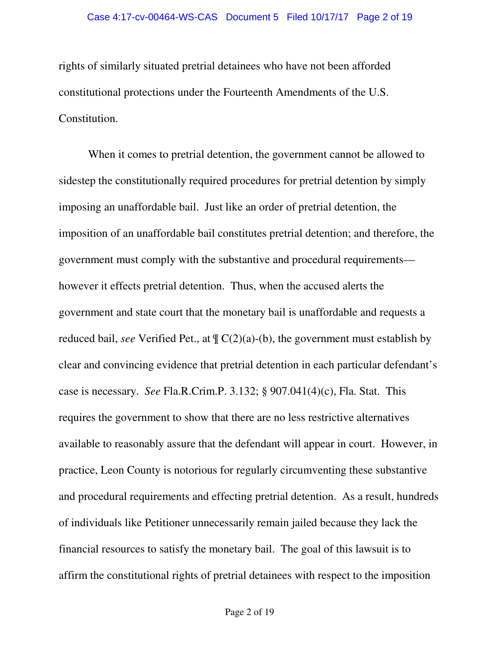rights of similarly situated pretrial detainees who have not been afforded constitutional protections under the Fourteenth Amendments of the U.S. Constitution.

When it comes to pretrial detention, the government cannot be allowed to sidestep the constitutionally required procedures for pretrial detention by simply imposing an unaffordable bail. Just like an order of pretrial detention, the imposition of an unaffordable bail constitutes pretrial detention; and therefore, the government must comply with the substantive and procedural requirements however it effects pretrial detention. Thus, when the accused alerts the government and state court that the monetary bail is unaffordable and requests a reduced bail, *see* Verified Pet., at ¶ C(2)(a)-(b), the government must establish by clear and convincing evidence that pretrial detention in each particular defendant's case is necessary. *See* Fla.R.Crim.P. 3.132; § 907.041(4)(c), Fla. Stat. This requires the government to show that there are no less restrictive alternatives available to reasonably assure that the defendant will appear in court. However, in practice, Leon County is notorious for regularly circumventing these substantive and procedural requirements and effecting pretrial detention. As a result, hundreds of individuals like Petitioner unnecessarily remain jailed because they lack the financial resources to satisfy the monetary bail. The goal of this lawsuit is to affirm the constitutional rights of pretrial detainees with respect to the imposition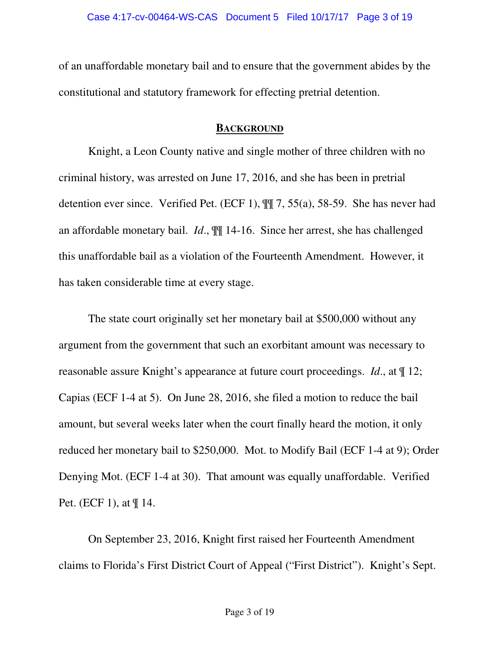of an unaffordable monetary bail and to ensure that the government abides by the constitutional and statutory framework for effecting pretrial detention.

### **BACKGROUND**

Knight, a Leon County native and single mother of three children with no criminal history, was arrested on June 17, 2016, and she has been in pretrial detention ever since. Verified Pet. (ECF 1), ¶¶ 7, 55(a), 58-59. She has never had an affordable monetary bail. *Id*., ¶¶ 14-16. Since her arrest, she has challenged this unaffordable bail as a violation of the Fourteenth Amendment. However, it has taken considerable time at every stage.

The state court originally set her monetary bail at \$500,000 without any argument from the government that such an exorbitant amount was necessary to reasonable assure Knight's appearance at future court proceedings. *Id*., at ¶ 12; Capias (ECF 1-4 at 5). On June 28, 2016, she filed a motion to reduce the bail amount, but several weeks later when the court finally heard the motion, it only reduced her monetary bail to \$250,000. Mot. to Modify Bail (ECF 1-4 at 9); Order Denying Mot. (ECF 1-4 at 30). That amount was equally unaffordable. Verified Pet. (ECF 1), at ¶ 14.

On September 23, 2016, Knight first raised her Fourteenth Amendment claims to Florida's First District Court of Appeal ("First District"). Knight's Sept.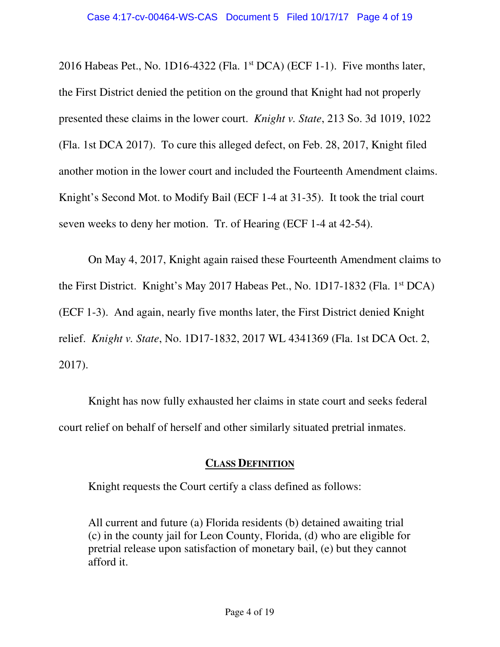2016 Habeas Pet., No. 1D16-4322 (Fla. 1<sup>st</sup> DCA) (ECF 1-1). Five months later, the First District denied the petition on the ground that Knight had not properly presented these claims in the lower court. *Knight v. State*, 213 So. 3d 1019, 1022 (Fla. 1st DCA 2017). To cure this alleged defect, on Feb. 28, 2017, Knight filed another motion in the lower court and included the Fourteenth Amendment claims. Knight's Second Mot. to Modify Bail (ECF 1-4 at 31-35). It took the trial court seven weeks to deny her motion. Tr. of Hearing (ECF 1-4 at 42-54).

On May 4, 2017, Knight again raised these Fourteenth Amendment claims to the First District. Knight's May 2017 Habeas Pet., No. 1D17-1832 (Fla. 1st DCA) (ECF 1-3). And again, nearly five months later, the First District denied Knight relief. *Knight v. State*, No. 1D17-1832, 2017 WL 4341369 (Fla. 1st DCA Oct. 2, 2017).

Knight has now fully exhausted her claims in state court and seeks federal court relief on behalf of herself and other similarly situated pretrial inmates.

## **CLASS DEFINITION**

Knight requests the Court certify a class defined as follows:

All current and future (a) Florida residents (b) detained awaiting trial (c) in the county jail for Leon County, Florida, (d) who are eligible for pretrial release upon satisfaction of monetary bail, (e) but they cannot afford it.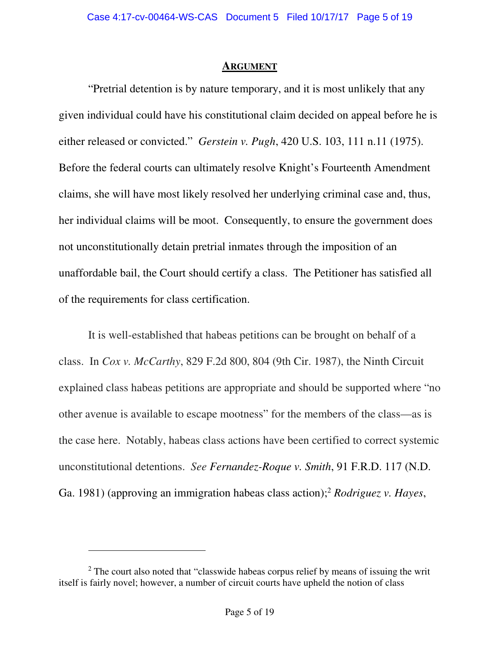#### **ARGUMENT**

"Pretrial detention is by nature temporary, and it is most unlikely that any given individual could have his constitutional claim decided on appeal before he is either released or convicted." *Gerstein v. Pugh*, 420 U.S. 103, 111 n.11 (1975). Before the federal courts can ultimately resolve Knight's Fourteenth Amendment claims, she will have most likely resolved her underlying criminal case and, thus, her individual claims will be moot. Consequently, to ensure the government does not unconstitutionally detain pretrial inmates through the imposition of an unaffordable bail, the Court should certify a class. The Petitioner has satisfied all of the requirements for class certification.

It is well-established that habeas petitions can be brought on behalf of a class. In *Cox v. McCarthy*, 829 F.2d 800, 804 (9th Cir. 1987), the Ninth Circuit explained class habeas petitions are appropriate and should be supported where "no other avenue is available to escape mootness" for the members of the class—as is the case here. Notably, habeas class actions have been certified to correct systemic unconstitutional detentions. *See Fernandez-Roque v. Smith*, 91 F.R.D. 117 (N.D. Ga. 1981) (approving an immigration habeas class action);<sup>2</sup> *Rodriguez v. Hayes*,

 $\ddot{\phantom{a}}$ 

 $2$  The court also noted that "classwide habeas corpus relief by means of issuing the writ itself is fairly novel; however, a number of circuit courts have upheld the notion of class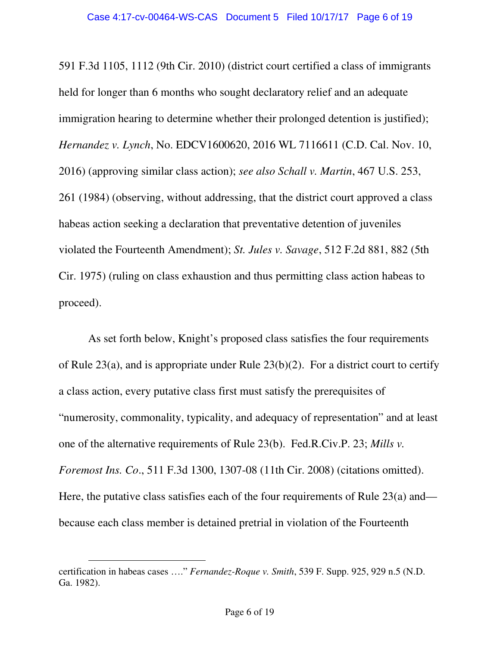591 F.3d 1105, 1112 (9th Cir. 2010) (district court certified a class of immigrants held for longer than 6 months who sought declaratory relief and an adequate immigration hearing to determine whether their prolonged detention is justified); *Hernandez v. Lynch*, No. EDCV1600620, 2016 WL 7116611 (C.D. Cal. Nov. 10, 2016) (approving similar class action); *see also Schall v. Martin*, 467 U.S. 253, 261 (1984) (observing, without addressing, that the district court approved a class habeas action seeking a declaration that preventative detention of juveniles violated the Fourteenth Amendment); *St. Jules v. Savage*, 512 F.2d 881, 882 (5th Cir. 1975) (ruling on class exhaustion and thus permitting class action habeas to proceed).

As set forth below, Knight's proposed class satisfies the four requirements of Rule 23(a), and is appropriate under Rule 23(b)(2). For a district court to certify a class action, every putative class first must satisfy the prerequisites of "numerosity, commonality, typicality, and adequacy of representation" and at least one of the alternative requirements of Rule 23(b). Fed.R.Civ.P. 23; *Mills v. Foremost Ins. Co*., 511 F.3d 1300, 1307-08 (11th Cir. 2008) (citations omitted). Here, the putative class satisfies each of the four requirements of Rule 23(a) and because each class member is detained pretrial in violation of the Fourteenth

 $\ddot{\phantom{a}}$ certification in habeas cases …." *Fernandez-Roque v. Smith*, 539 F. Supp. 925, 929 n.5 (N.D. Ga. 1982).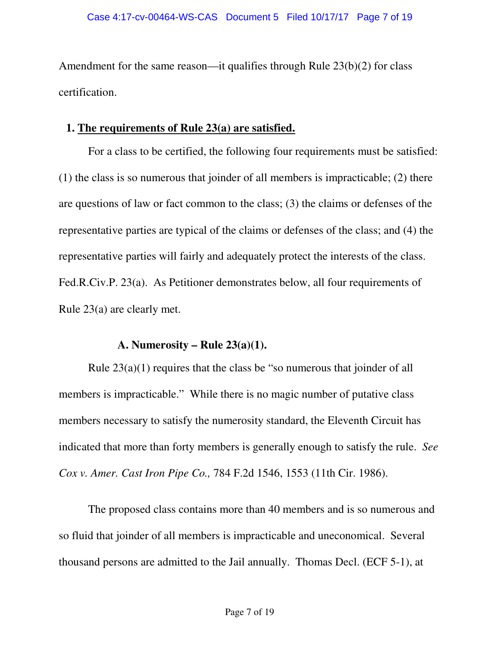Amendment for the same reason—it qualifies through Rule 23(b)(2) for class certification.

## **1. The requirements of Rule 23(a) are satisfied.**

For a class to be certified, the following four requirements must be satisfied: (1) the class is so numerous that joinder of all members is impracticable; (2) there are questions of law or fact common to the class; (3) the claims or defenses of the representative parties are typical of the claims or defenses of the class; and (4) the representative parties will fairly and adequately protect the interests of the class. Fed.R.Civ.P. 23(a). As Petitioner demonstrates below, all four requirements of Rule 23(a) are clearly met.

## **A. Numerosity – Rule 23(a)(1).**

Rule 23(a)(1) requires that the class be "so numerous that joinder of all members is impracticable." While there is no magic number of putative class members necessary to satisfy the numerosity standard, the Eleventh Circuit has indicated that more than forty members is generally enough to satisfy the rule. *See Cox v. Amer. Cast Iron Pipe Co.,* 784 F.2d 1546, 1553 (11th Cir. 1986).

The proposed class contains more than 40 members and is so numerous and so fluid that joinder of all members is impracticable and uneconomical. Several thousand persons are admitted to the Jail annually. Thomas Decl. (ECF 5-1), at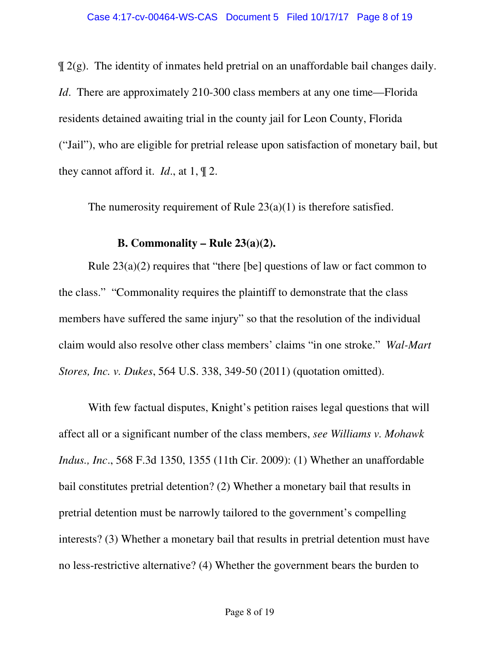$\mathcal{Z}(g)$ . The identity of inmates held pretrial on an unaffordable bail changes daily. *Id.* There are approximately 210-300 class members at any one time—Florida residents detained awaiting trial in the county jail for Leon County, Florida ("Jail"), who are eligible for pretrial release upon satisfaction of monetary bail, but they cannot afford it. *Id*., at 1, ¶ 2.

The numerosity requirement of Rule 23(a)(1) is therefore satisfied.

### **B. Commonality – Rule 23(a)(2).**

Rule  $23(a)(2)$  requires that "there [be] questions of law or fact common to the class." "Commonality requires the plaintiff to demonstrate that the class members have suffered the same injury" so that the resolution of the individual claim would also resolve other class members' claims "in one stroke." *Wal-Mart Stores, Inc. v. Dukes*, 564 U.S. 338, 349-50 (2011) (quotation omitted).

With few factual disputes, Knight's petition raises legal questions that will affect all or a significant number of the class members, *see Williams v. Mohawk Indus., Inc*., 568 F.3d 1350, 1355 (11th Cir. 2009): (1) Whether an unaffordable bail constitutes pretrial detention? (2) Whether a monetary bail that results in pretrial detention must be narrowly tailored to the government's compelling interests? (3) Whether a monetary bail that results in pretrial detention must have no less-restrictive alternative? (4) Whether the government bears the burden to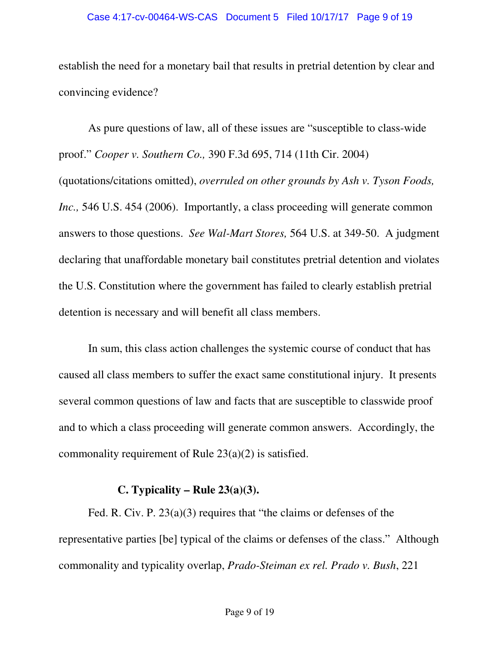#### Case 4:17-cv-00464-WS-CAS Document 5 Filed 10/17/17 Page 9 of 19

establish the need for a monetary bail that results in pretrial detention by clear and convincing evidence?

As pure questions of law, all of these issues are "susceptible to class-wide proof." *Cooper v. Southern Co.,* 390 F.3d 695, 714 (11th Cir. 2004) (quotations/citations omitted), *overruled on other grounds by Ash v. Tyson Foods, Inc.*, 546 U.S. 454 (2006). Importantly, a class proceeding will generate common answers to those questions. *See Wal-Mart Stores,* 564 U.S. at 349-50. A judgment declaring that unaffordable monetary bail constitutes pretrial detention and violates the U.S. Constitution where the government has failed to clearly establish pretrial detention is necessary and will benefit all class members.

In sum, this class action challenges the systemic course of conduct that has caused all class members to suffer the exact same constitutional injury. It presents several common questions of law and facts that are susceptible to classwide proof and to which a class proceeding will generate common answers. Accordingly, the commonality requirement of Rule 23(a)(2) is satisfied.

### **C. Typicality – Rule 23(a)(3).**

Fed. R. Civ. P. 23(a)(3) requires that "the claims or defenses of the representative parties [be] typical of the claims or defenses of the class." Although commonality and typicality overlap, *Prado-Steiman ex rel. Prado v. Bush*, 221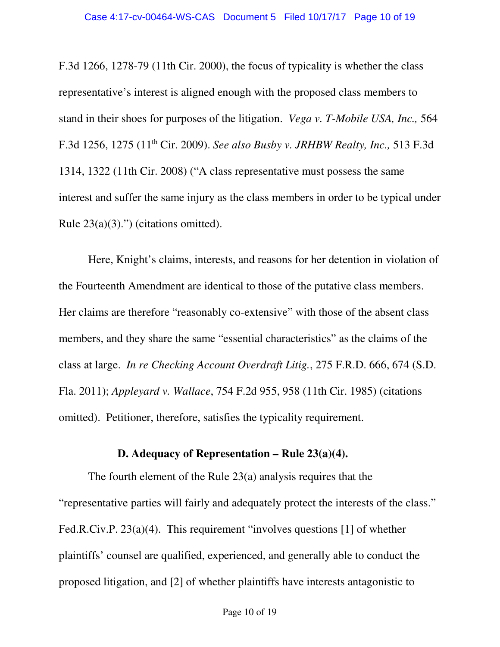F.3d 1266, 1278-79 (11th Cir. 2000), the focus of typicality is whether the class representative's interest is aligned enough with the proposed class members to stand in their shoes for purposes of the litigation. *Vega v. T-Mobile USA, Inc.,* 564 F.3d 1256, 1275 (11th Cir. 2009). *See also Busby v. JRHBW Realty, Inc.,* 513 F.3d 1314, 1322 (11th Cir. 2008) ("A class representative must possess the same interest and suffer the same injury as the class members in order to be typical under Rule  $23(a)(3)$ .") (citations omitted).

Here, Knight's claims, interests, and reasons for her detention in violation of the Fourteenth Amendment are identical to those of the putative class members. Her claims are therefore "reasonably co-extensive" with those of the absent class members, and they share the same "essential characteristics" as the claims of the class at large. *In re Checking Account Overdraft Litig.*, 275 F.R.D. 666, 674 (S.D. Fla. 2011); *Appleyard v. Wallace*, 754 F.2d 955, 958 (11th Cir. 1985) (citations omitted). Petitioner, therefore, satisfies the typicality requirement.

### **D. Adequacy of Representation – Rule 23(a)(4).**

The fourth element of the Rule 23(a) analysis requires that the "representative parties will fairly and adequately protect the interests of the class." Fed.R.Civ.P. 23(a)(4). This requirement "involves questions [1] of whether plaintiffs' counsel are qualified, experienced, and generally able to conduct the proposed litigation, and [2] of whether plaintiffs have interests antagonistic to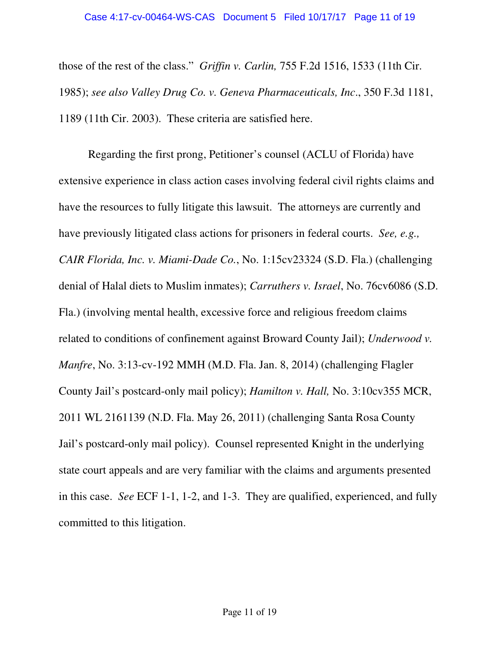those of the rest of the class." *Griffin v. Carlin,* 755 F.2d 1516, 1533 (11th Cir. 1985); *see also Valley Drug Co. v. Geneva Pharmaceuticals, Inc*., 350 F.3d 1181, 1189 (11th Cir. 2003). These criteria are satisfied here.

Regarding the first prong, Petitioner's counsel (ACLU of Florida) have extensive experience in class action cases involving federal civil rights claims and have the resources to fully litigate this lawsuit. The attorneys are currently and have previously litigated class actions for prisoners in federal courts. *See, e.g., CAIR Florida, Inc. v. Miami-Dade Co.*, No. 1:15cv23324 (S.D. Fla.) (challenging denial of Halal diets to Muslim inmates); *Carruthers v. Israel*, No. 76cv6086 (S.D. Fla.) (involving mental health, excessive force and religious freedom claims related to conditions of confinement against Broward County Jail); *Underwood v. Manfre*, No. 3:13-cv-192 MMH (M.D. Fla. Jan. 8, 2014) (challenging Flagler County Jail's postcard-only mail policy); *Hamilton v. Hall,* No. 3:10cv355 MCR, 2011 WL 2161139 (N.D. Fla. May 26, 2011) (challenging Santa Rosa County Jail's postcard-only mail policy). Counsel represented Knight in the underlying state court appeals and are very familiar with the claims and arguments presented in this case. *See* ECF 1-1, 1-2, and 1-3. They are qualified, experienced, and fully committed to this litigation.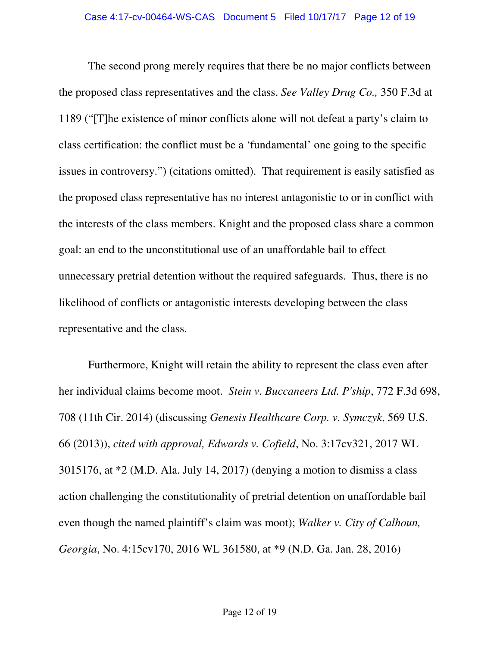The second prong merely requires that there be no major conflicts between the proposed class representatives and the class. *See Valley Drug Co.,* 350 F.3d at 1189 ("[T]he existence of minor conflicts alone will not defeat a party's claim to class certification: the conflict must be a 'fundamental' one going to the specific issues in controversy.") (citations omitted). That requirement is easily satisfied as the proposed class representative has no interest antagonistic to or in conflict with the interests of the class members. Knight and the proposed class share a common goal: an end to the unconstitutional use of an unaffordable bail to effect unnecessary pretrial detention without the required safeguards. Thus, there is no likelihood of conflicts or antagonistic interests developing between the class representative and the class.

Furthermore, Knight will retain the ability to represent the class even after her individual claims become moot. *Stein v. Buccaneers Ltd. P'ship*, 772 F.3d 698, 708 (11th Cir. 2014) (discussing *Genesis Healthcare Corp. v. Symczyk*, 569 U.S. 66 (2013)), *cited with approval, Edwards v. Cofield*, No. 3:17cv321, 2017 WL 3015176, at \*2 (M.D. Ala. July 14, 2017) (denying a motion to dismiss a class action challenging the constitutionality of pretrial detention on unaffordable bail even though the named plaintiff's claim was moot); *Walker v. City of Calhoun, Georgia*, No. 4:15cv170, 2016 WL 361580, at \*9 (N.D. Ga. Jan. 28, 2016)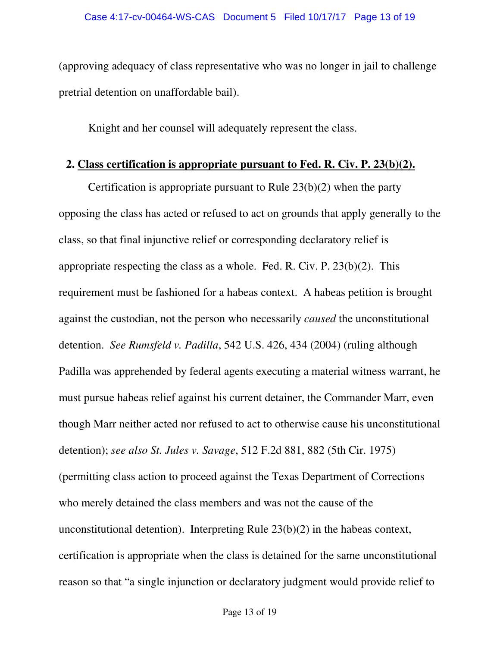(approving adequacy of class representative who was no longer in jail to challenge pretrial detention on unaffordable bail).

Knight and her counsel will adequately represent the class.

# **2. Class certification is appropriate pursuant to Fed. R. Civ. P. 23(b)(2).**

Certification is appropriate pursuant to Rule  $23(b)(2)$  when the party opposing the class has acted or refused to act on grounds that apply generally to the class, so that final injunctive relief or corresponding declaratory relief is appropriate respecting the class as a whole. Fed. R. Civ. P. 23(b)(2). This requirement must be fashioned for a habeas context. A habeas petition is brought against the custodian, not the person who necessarily *caused* the unconstitutional detention. *See Rumsfeld v. Padilla*, 542 U.S. 426, 434 (2004) (ruling although Padilla was apprehended by federal agents executing a material witness warrant, he must pursue habeas relief against his current detainer, the Commander Marr, even though Marr neither acted nor refused to act to otherwise cause his unconstitutional detention); *see also St. Jules v. Savage*, 512 F.2d 881, 882 (5th Cir. 1975) (permitting class action to proceed against the Texas Department of Corrections who merely detained the class members and was not the cause of the unconstitutional detention). Interpreting Rule 23(b)(2) in the habeas context, certification is appropriate when the class is detained for the same unconstitutional reason so that "a single injunction or declaratory judgment would provide relief to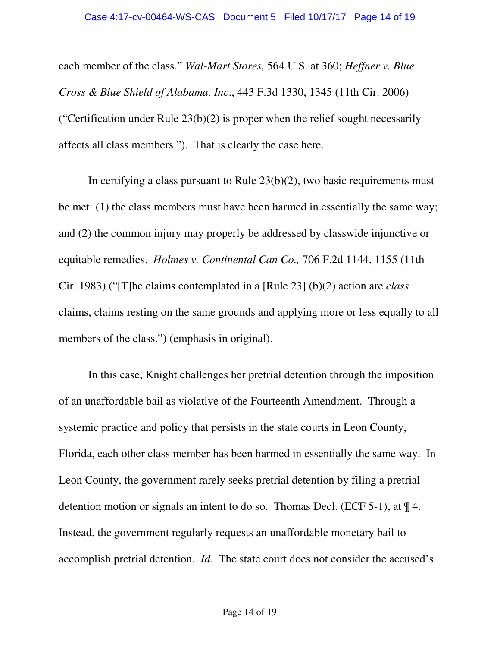each member of the class." *Wal-Mart Stores,* 564 U.S. at 360; *Heffner v. Blue Cross & Blue Shield of Alabama, Inc*., 443 F.3d 1330, 1345 (11th Cir. 2006) ("Certification under Rule  $23(b)(2)$  is proper when the relief sought necessarily affects all class members."). That is clearly the case here.

In certifying a class pursuant to Rule 23(b)(2), two basic requirements must be met: (1) the class members must have been harmed in essentially the same way; and (2) the common injury may properly be addressed by classwide injunctive or equitable remedies. *Holmes v. Continental Can Co.,* 706 F.2d 1144, 1155 (11th Cir. 1983) ("[T]he claims contemplated in a [Rule 23] (b)(2) action are *class* claims, claims resting on the same grounds and applying more or less equally to all members of the class.") (emphasis in original).

In this case, Knight challenges her pretrial detention through the imposition of an unaffordable bail as violative of the Fourteenth Amendment. Through a systemic practice and policy that persists in the state courts in Leon County, Florida, each other class member has been harmed in essentially the same way. In Leon County, the government rarely seeks pretrial detention by filing a pretrial detention motion or signals an intent to do so. Thomas Decl. (ECF 5-1), at ¶ 4. Instead, the government regularly requests an unaffordable monetary bail to accomplish pretrial detention. *Id*. The state court does not consider the accused's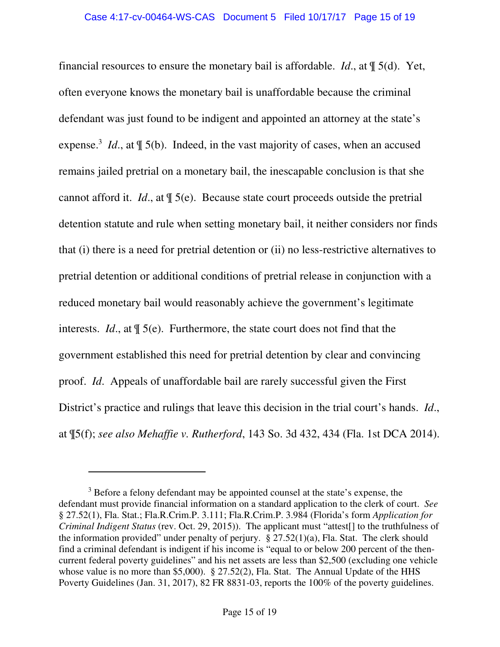financial resources to ensure the monetary bail is affordable. *Id*., at ¶ 5(d). Yet, often everyone knows the monetary bail is unaffordable because the criminal defendant was just found to be indigent and appointed an attorney at the state's expense.<sup>3</sup> *Id.*, at  $\mathbb{I}$  5(b). Indeed, in the vast majority of cases, when an accused remains jailed pretrial on a monetary bail, the inescapable conclusion is that she cannot afford it. *Id*., at ¶ 5(e). Because state court proceeds outside the pretrial detention statute and rule when setting monetary bail, it neither considers nor finds that (i) there is a need for pretrial detention or (ii) no less-restrictive alternatives to pretrial detention or additional conditions of pretrial release in conjunction with a reduced monetary bail would reasonably achieve the government's legitimate interests. *Id*., at ¶ 5(e). Furthermore, the state court does not find that the government established this need for pretrial detention by clear and convincing proof. *Id*. Appeals of unaffordable bail are rarely successful given the First District's practice and rulings that leave this decision in the trial court's hands. *Id*., at ¶5(f); *see also Mehaffie v. Rutherford*, 143 So. 3d 432, 434 (Fla. 1st DCA 2014).

 $\overline{a}$ 

<sup>&</sup>lt;sup>3</sup> Before a felony defendant may be appointed counsel at the state's expense, the defendant must provide financial information on a standard application to the clerk of court. *See* § 27.52(1), Fla. Stat.; Fla.R.Crim.P. 3.111; Fla.R.Crim.P. 3.984 (Florida's form *Application for Criminal Indigent Status* (rev. Oct. 29, 2015)). The applicant must "attest[] to the truthfulness of the information provided" under penalty of perjury.  $\S 27.52(1)(a)$ , Fla. Stat. The clerk should find a criminal defendant is indigent if his income is "equal to or below 200 percent of the thencurrent federal poverty guidelines" and his net assets are less than \$2,500 (excluding one vehicle whose value is no more than \$5,000). § 27.52(2), Fla. Stat. The Annual Update of the HHS Poverty Guidelines (Jan. 31, 2017), 82 FR 8831-03, reports the 100% of the poverty guidelines.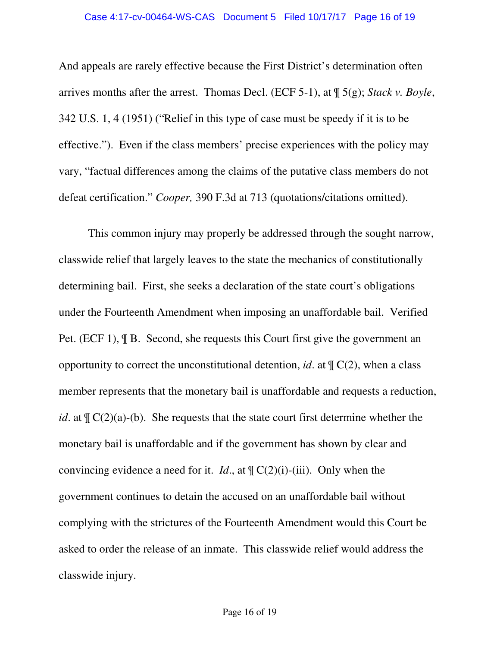And appeals are rarely effective because the First District's determination often arrives months after the arrest. Thomas Decl. (ECF 5-1), at ¶ 5(g); *Stack v. Boyle*, 342 U.S. 1, 4 (1951) ("Relief in this type of case must be speedy if it is to be effective."). Even if the class members' precise experiences with the policy may vary, "factual differences among the claims of the putative class members do not defeat certification." *Cooper,* 390 F.3d at 713 (quotations/citations omitted).

This common injury may properly be addressed through the sought narrow, classwide relief that largely leaves to the state the mechanics of constitutionally determining bail. First, she seeks a declaration of the state court's obligations under the Fourteenth Amendment when imposing an unaffordable bail. Verified Pet. (ECF 1), ¶ B. Second, she requests this Court first give the government an opportunity to correct the unconstitutional detention, *id.* at  $\P C(2)$ , when a class member represents that the monetary bail is unaffordable and requests a reduction, *id*. at  $\oint_C C(2)(a)-(b)$ . She requests that the state court first determine whether the monetary bail is unaffordable and if the government has shown by clear and convincing evidence a need for it. *Id.*, at  $\P C(2)(i)$ -(iii). Only when the government continues to detain the accused on an unaffordable bail without complying with the strictures of the Fourteenth Amendment would this Court be asked to order the release of an inmate. This classwide relief would address the classwide injury.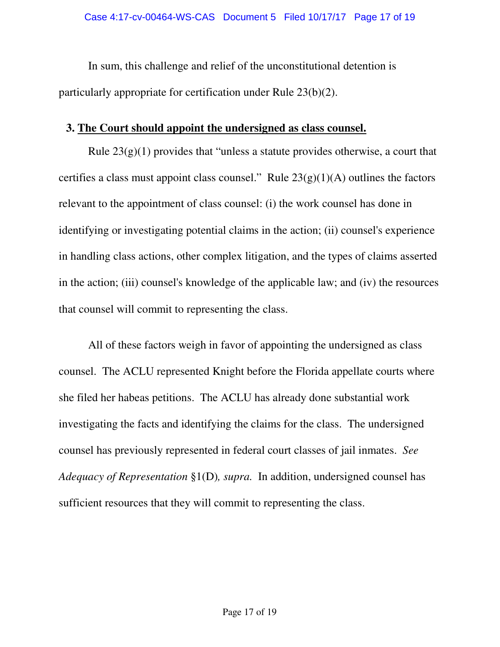In sum, this challenge and relief of the unconstitutional detention is particularly appropriate for certification under Rule 23(b)(2).

## **3. The Court should appoint the undersigned as class counsel.**

Rule  $23(g)(1)$  provides that "unless a statute provides otherwise, a court that certifies a class must appoint class counsel." Rule  $23(g)(1)(A)$  outlines the factors relevant to the appointment of class counsel: (i) the work counsel has done in identifying or investigating potential claims in the action; (ii) counsel's experience in handling class actions, other complex litigation, and the types of claims asserted in the action; (iii) counsel's knowledge of the applicable law; and (iv) the resources that counsel will commit to representing the class.

All of these factors weigh in favor of appointing the undersigned as class counsel. The ACLU represented Knight before the Florida appellate courts where she filed her habeas petitions. The ACLU has already done substantial work investigating the facts and identifying the claims for the class. The undersigned counsel has previously represented in federal court classes of jail inmates. *See Adequacy of Representation* §1(D)*, supra.* In addition, undersigned counsel has sufficient resources that they will commit to representing the class.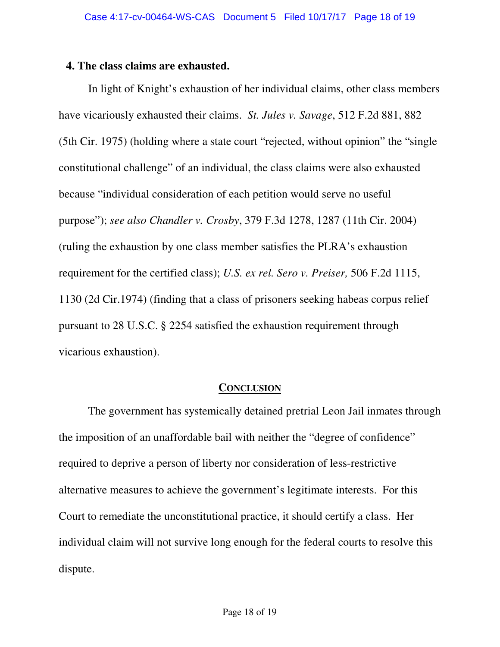#### **4. The class claims are exhausted.**

In light of Knight's exhaustion of her individual claims, other class members have vicariously exhausted their claims. *St. Jules v. Savage*, 512 F.2d 881, 882 (5th Cir. 1975) (holding where a state court "rejected, without opinion" the "single constitutional challenge" of an individual, the class claims were also exhausted because "individual consideration of each petition would serve no useful purpose"); *see also Chandler v. Crosby*, 379 F.3d 1278, 1287 (11th Cir. 2004) (ruling the exhaustion by one class member satisfies the PLRA's exhaustion requirement for the certified class); *U.S. ex rel. Sero v. Preiser,* 506 F.2d 1115, 1130 (2d Cir.1974) (finding that a class of prisoners seeking habeas corpus relief pursuant to 28 U.S.C. § 2254 satisfied the exhaustion requirement through vicarious exhaustion).

#### **CONCLUSION**

The government has systemically detained pretrial Leon Jail inmates through the imposition of an unaffordable bail with neither the "degree of confidence" required to deprive a person of liberty nor consideration of less-restrictive alternative measures to achieve the government's legitimate interests. For this Court to remediate the unconstitutional practice, it should certify a class. Her individual claim will not survive long enough for the federal courts to resolve this dispute.